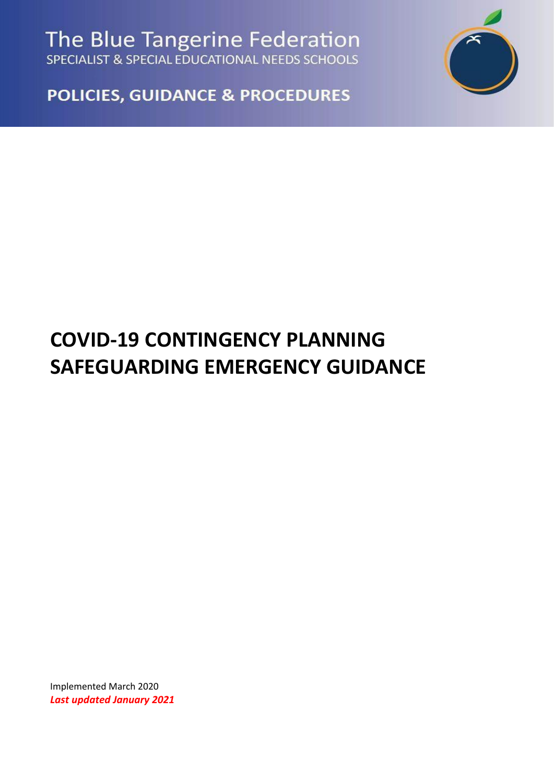The Blue Tangerine Federation<br>SPECIALIST & SPECIAL EDUCATIONAL NEEDS SCHOOLS



**POLICIES, GUIDANCE & PROCEDURES** 

# **COVID-19 CONTINGENCY PLANNING SAFEGUARDING EMERGENCY GUIDANCE**

Implemented March 2020 *Last updated January 2021*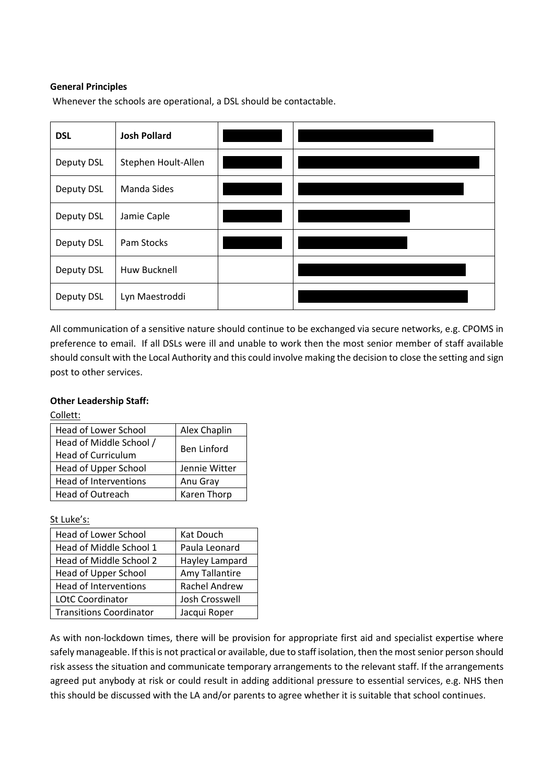## **General Principles**

Whenever the schools are operational, a DSL should be contactable.



All communication of a sensitive nature should continue to be exchanged via secure networks, e.g. CPOMS in preference to email. If all DSLs were ill and unable to work then the most senior member of staff available should consult with the Local Authority and this could involve making the decision to close the setting and sign post to other services.

# **Other Leadership Staff:**

Collett:

| Head of Lower School      | Alex Chaplin       |
|---------------------------|--------------------|
| Head of Middle School /   | <b>Ben Linford</b> |
| <b>Head of Curriculum</b> |                    |
| Head of Upper School      | Jennie Witter      |
| Head of Interventions     | Anu Gray           |
| <b>Head of Outreach</b>   | Karen Thorp        |

St Luke's:

| <b>Head of Lower School</b>    | Kat Douch      |
|--------------------------------|----------------|
| Head of Middle School 1        | Paula Leonard  |
| Head of Middle School 2        | Hayley Lampard |
| Head of Upper School           | Amy Tallantire |
| Head of Interventions          | Rachel Andrew  |
| <b>LOtC Coordinator</b>        | Josh Crosswell |
| <b>Transitions Coordinator</b> | Jacqui Roper   |

As with non-lockdown times, there will be provision for appropriate first aid and specialist expertise where safely manageable. If this is not practical or available, due to staff isolation, then the most senior person should risk assess the situation and communicate temporary arrangements to the relevant staff. If the arrangements agreed put anybody at risk or could result in adding additional pressure to essential services, e.g. NHS then this should be discussed with the LA and/or parents to agree whether it is suitable that school continues.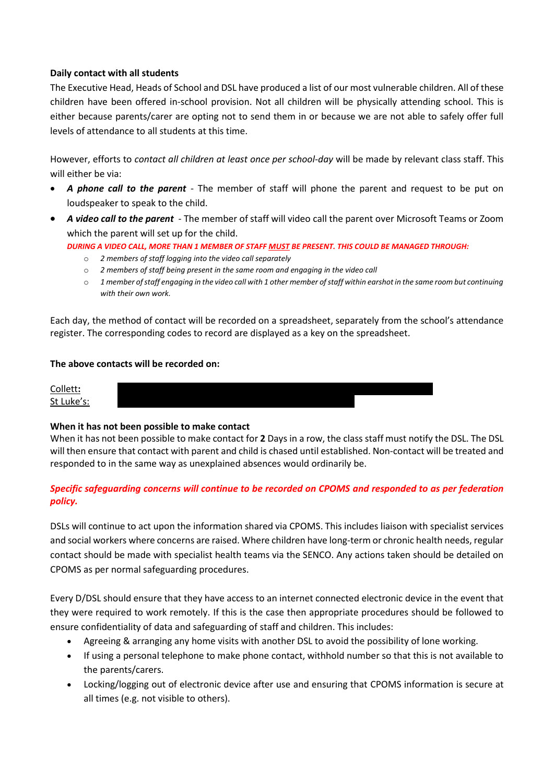# **Daily contact with all students**

The Executive Head, Heads of School and DSL have produced a list of our most vulnerable children. All of these children have been offered in-school provision. Not all children will be physically attending school. This is either because parents/carer are opting not to send them in or because we are not able to safely offer full levels of attendance to all students at this time.

However, efforts to *contact all children at least once per school-day* will be made by relevant class staff. This will either be via:

- *A phone call to the parent* The member of staff will phone the parent and request to be put on loudspeaker to speak to the child.
- *A video call to the parent* The member of staff will video call the parent over Microsoft Teams or Zoom which the parent will set up for the child.

*DURING A VIDEO CALL, MORE THAN 1 MEMBER OF STAFF MUST BE PRESENT. THIS COULD BE MANAGED THROUGH:*

- o *2 members of staff logging into the video call separately*
- o *2 members of staff being present in the same room and engaging in the video call*
- o *1 member of staff engaging in the video call with 1 other member of staff within earshot in the same room but continuing with their own work.*

Each day, the method of contact will be recorded on a spreadsheet, separately from the school's attendance register. The corresponding codes to record are displayed as a key on the spreadsheet.

## **The above contacts will be recorded on:**



## **When it has not been possible to make contact**

When it has not been possible to make contact for **2** Days in a row, the class staff must notify the DSL. The DSL will then ensure that contact with parent and child is chased until established. Non-contact will be treated and responded to in the same way as unexplained absences would ordinarily be.

# *Specific safeguarding concerns will continue to be recorded on CPOMS and responded to as per federation policy.*

DSLs will continue to act upon the information shared via CPOMS. This includes liaison with specialist services and social workers where concerns are raised. Where children have long-term or chronic health needs, regular contact should be made with specialist health teams via the SENCO. Any actions taken should be detailed on CPOMS as per normal safeguarding procedures.

Every D/DSL should ensure that they have access to an internet connected electronic device in the event that they were required to work remotely. If this is the case then appropriate procedures should be followed to ensure confidentiality of data and safeguarding of staff and children. This includes:

- Agreeing & arranging any home visits with another DSL to avoid the possibility of lone working.
- If using a personal telephone to make phone contact, withhold number so that this is not available to the parents/carers.
- Locking/logging out of electronic device after use and ensuring that CPOMS information is secure at all times (e.g. not visible to others).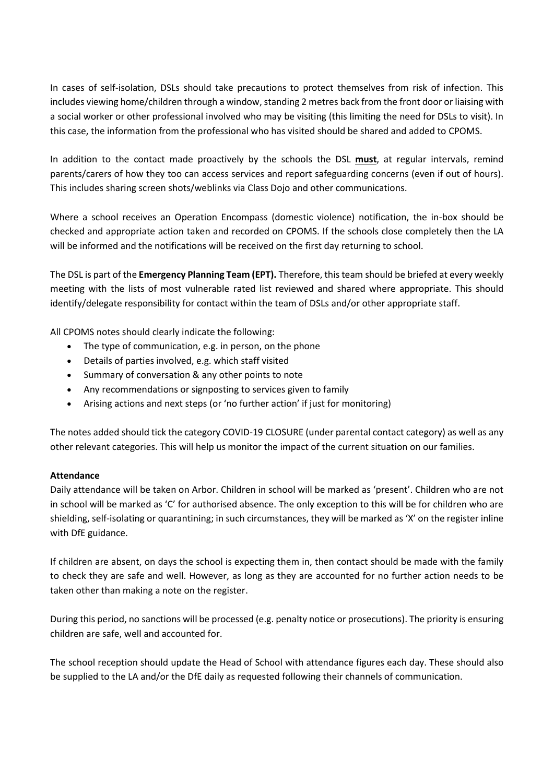In cases of self-isolation, DSLs should take precautions to protect themselves from risk of infection. This includes viewing home/children through a window, standing 2 metres back from the front door or liaising with a social worker or other professional involved who may be visiting (this limiting the need for DSLs to visit). In this case, the information from the professional who has visited should be shared and added to CPOMS.

In addition to the contact made proactively by the schools the DSL **must**, at regular intervals, remind parents/carers of how they too can access services and report safeguarding concerns (even if out of hours). This includes sharing screen shots/weblinks via Class Dojo and other communications.

Where a school receives an Operation Encompass (domestic violence) notification, the in-box should be checked and appropriate action taken and recorded on CPOMS. If the schools close completely then the LA will be informed and the notifications will be received on the first day returning to school.

The DSL is part of the **Emergency Planning Team (EPT).** Therefore, this team should be briefed at every weekly meeting with the lists of most vulnerable rated list reviewed and shared where appropriate. This should identify/delegate responsibility for contact within the team of DSLs and/or other appropriate staff.

All CPOMS notes should clearly indicate the following:

- The type of communication, e.g. in person, on the phone
- Details of parties involved, e.g. which staff visited
- Summary of conversation & any other points to note
- Any recommendations or signposting to services given to family
- Arising actions and next steps (or 'no further action' if just for monitoring)

The notes added should tick the category COVID-19 CLOSURE (under parental contact category) as well as any other relevant categories. This will help us monitor the impact of the current situation on our families.

# **Attendance**

Daily attendance will be taken on Arbor. Children in school will be marked as 'present'. Children who are not in school will be marked as 'C' for authorised absence. The only exception to this will be for children who are shielding, self-isolating or quarantining; in such circumstances, they will be marked as 'X' on the register inline with DfE guidance.

If children are absent, on days the school is expecting them in, then contact should be made with the family to check they are safe and well. However, as long as they are accounted for no further action needs to be taken other than making a note on the register.

During this period, no sanctions will be processed (e.g. penalty notice or prosecutions). The priority is ensuring children are safe, well and accounted for.

The school reception should update the Head of School with attendance figures each day. These should also be supplied to the LA and/or the DfE daily as requested following their channels of communication.